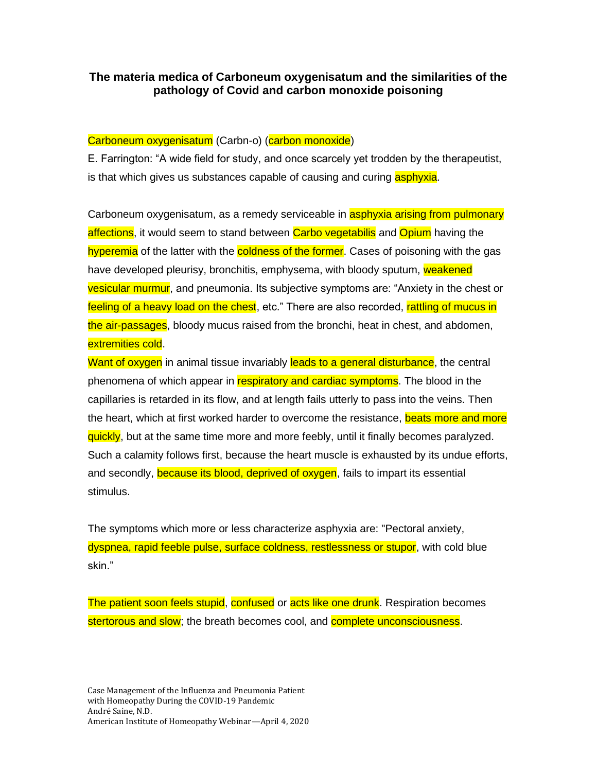# **The materia medica of Carboneum oxygenisatum and the similarities of the pathology of Covid and carbon monoxide poisoning**

# Carboneum oxygenisatum (Carbn-o) (carbon monoxide)

E. Farrington: "A wide field for study, and once scarcely yet trodden by the therapeutist, is that which gives us substances capable of causing and curing **asphyxia**.

Carboneum oxygenisatum, as a remedy serviceable in **asphyxia arising from pulmonary** affections, it would seem to stand between Carbo vegetabilis and Opium having the hyperemia of the latter with the coldness of the former. Cases of poisoning with the gas have developed pleurisy, bronchitis, emphysema, with bloody sputum, weakened vesicular murmur, and pneumonia. Its subjective symptoms are: "Anxiety in the chest or feeling of a heavy load on the chest, etc." There are also recorded, rattling of mucus in the air-passages, bloody mucus raised from the bronchi, heat in chest, and abdomen, extremities cold.

Want of oxygen in animal tissue invariably leads to a general disturbance, the central phenomena of which appear in respiratory and cardiac symptoms. The blood in the capillaries is retarded in its flow, and at length fails utterly to pass into the veins. Then the heart, which at first worked harder to overcome the resistance, beats more and more quickly, but at the same time more and more feebly, until it finally becomes paralyzed. Such a calamity follows first, because the heart muscle is exhausted by its undue efforts, and secondly, because its blood, deprived of oxygen, fails to impart its essential stimulus.

The symptoms which more or less characterize asphyxia are: "Pectoral anxiety, dyspnea, rapid feeble pulse, surface coldness, restlessness or stupor, with cold blue skin."

The patient soon feels stupid, confused or acts like one drunk. Respiration becomes stertorous and slow; the breath becomes cool, and **complete unconsciousness**.

Case Management of the Influenza and Pneumonia Patient with Homeopathy During the COVID-19 Pandemic André Saine, N.D. American Institute of Homeopathy Webinar—April 4, 2020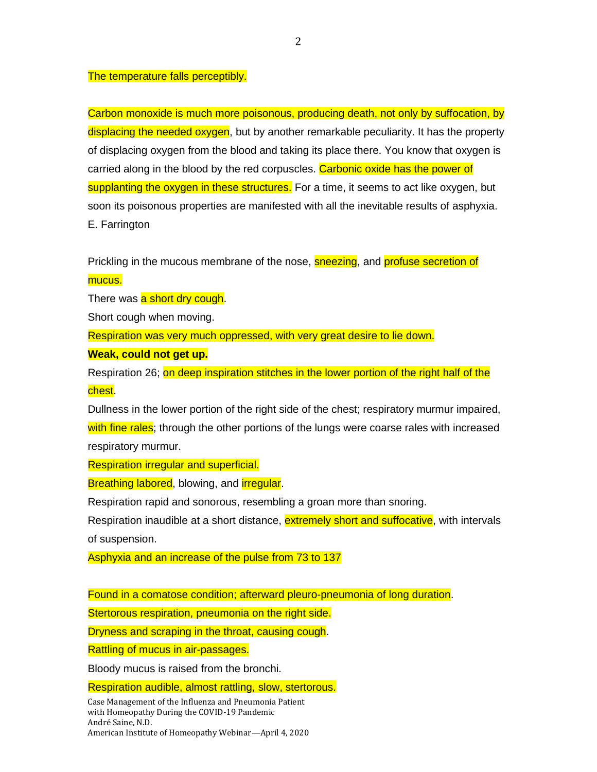#### The temperature falls perceptibly.

Carbon monoxide is much more poisonous, producing death, not only by suffocation, by displacing the needed oxygen, but by another remarkable peculiarity. It has the property of displacing oxygen from the blood and taking its place there. You know that oxygen is carried along in the blood by the red corpuscles. Carbonic oxide has the power of supplanting the oxygen in these structures. For a time, it seems to act like oxygen, but soon its poisonous properties are manifested with all the inevitable results of asphyxia. E. Farrington

Prickling in the mucous membrane of the nose, **sneezing**, and **profuse secretion of** mucus.

There was a short dry cough.

Short cough when moving.

Respiration was very much oppressed, with very great desire to lie down.

**Weak, could not get up.**

Respiration 26; on deep inspiration stitches in the lower portion of the right half of the chest.

Dullness in the lower portion of the right side of the chest; respiratory murmur impaired, with fine rales; through the other portions of the lungs were coarse rales with increased respiratory murmur.

Respiration irregular and superficial.

Breathing labored, blowing, and *irregular.* 

Respiration rapid and sonorous, resembling a groan more than snoring.

Respiration inaudible at a short distance, **extremely short and suffocative**, with intervals of suspension.

Asphyxia and an increase of the pulse from 73 to 137

Found in a comatose condition; afterward pleuro-pneumonia of long duration.

Stertorous respiration, pneumonia on the right side.

Dryness and scraping in the throat, causing cough.

Rattling of mucus in air-passages.

Bloody mucus is raised from the bronchi.

Respiration audible, almost rattling, slow, stertorous.

Case Management of the Influenza and Pneumonia Patient with Homeopathy During the COVID-19 Pandemic André Saine, N.D. American Institute of Homeopathy Webinar—April 4, 2020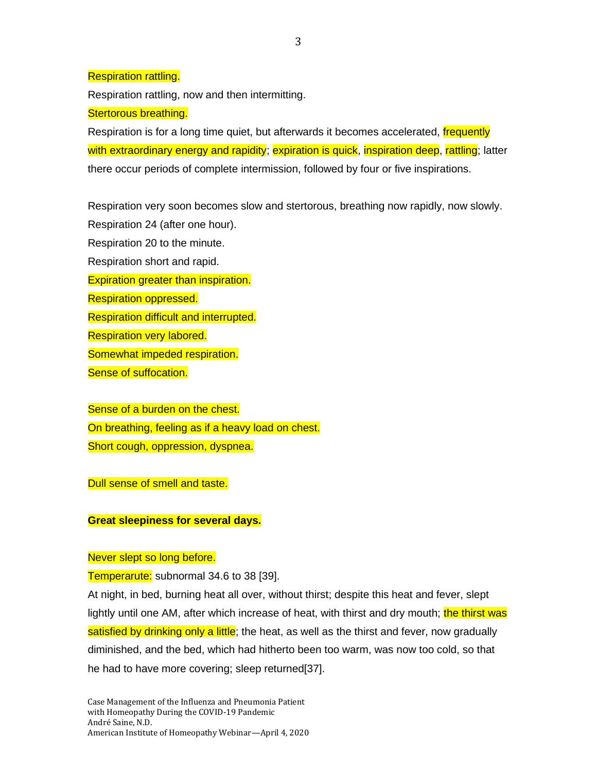Respiration rattling.

Respiration rattling, now and then intermitting.

## Stertorous breathing.

Respiration is for a long time quiet, but afterwards it becomes accelerated, frequently with extraordinary energy and rapidity; expiration is quick, inspiration deep, rattling; latter there occur periods of complete intermission, followed by four or five inspirations.

Respiration very soon becomes slow and stertorous, breathing now rapidly, now slowly. Respiration 24 (after one hour).

Respiration 20 to the minute. Respiration short and rapid. Expiration greater than inspiration. Respiration oppressed. Respiration difficult and interrupted. Respiration very labored. Somewhat impeded respiration. Sense of suffocation.

Sense of a burden on the chest. On breathing, feeling as if a heavy load on chest. Short cough, oppression, dyspnea.

Dull sense of smell and taste.

**Great sleepiness for several days.**

# Never slept so long before.

Temperarute: subnormal 34.6 to 38 [39].

At night, in bed, burning heat all over, without thirst; despite this heat and fever, slept lightly until one AM, after which increase of heat, with thirst and dry mouth; the thirst was satisfied by drinking only a little; the heat, as well as the thirst and fever, now gradually diminished, and the bed, which had hitherto been too warm, was now too cold, so that he had to have more covering; sleep returned[37].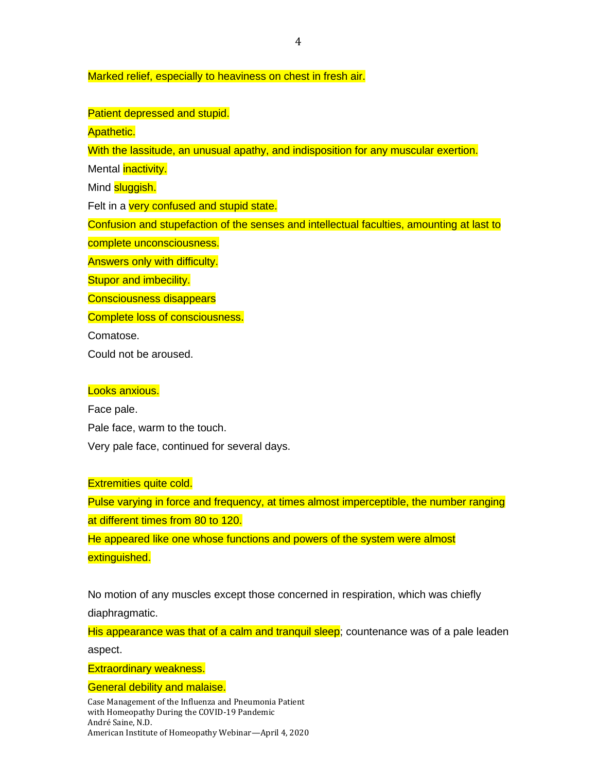#### Marked relief, especially to heaviness on chest in fresh air.

#### Patient depressed and stupid.

Apathetic.

With the lassitude, an unusual apathy, and indisposition for any muscular exertion.

Mental **inactivity**.

Mind **sluggish.** 

Felt in a very confused and stupid state.

Confusion and stupefaction of the senses and intellectual faculties, amounting at last to

complete unconsciousness.

Answers only with difficulty.

**Stupor and imbecility.** 

Consciousness disappears

Complete loss of consciousness.

Comatose.

Could not be aroused.

## Looks anxious.

Face pale. Pale face, warm to the touch. Very pale face, continued for several days.

#### Extremities quite cold.

Pulse varying in force and frequency, at times almost imperceptible, the number ranging at different times from 80 to 120.

He appeared like one whose functions and powers of the system were almost extinguished.

No motion of any muscles except those concerned in respiration, which was chiefly diaphragmatic.

His appearance was that of a calm and tranquil sleep; countenance was of a pale leaden aspect.

Extraordinary weakness.

General debility and malaise.

Case Management of the Influenza and Pneumonia Patient with Homeopathy During the COVID-19 Pandemic André Saine, N.D. American Institute of Homeopathy Webinar—April 4, 2020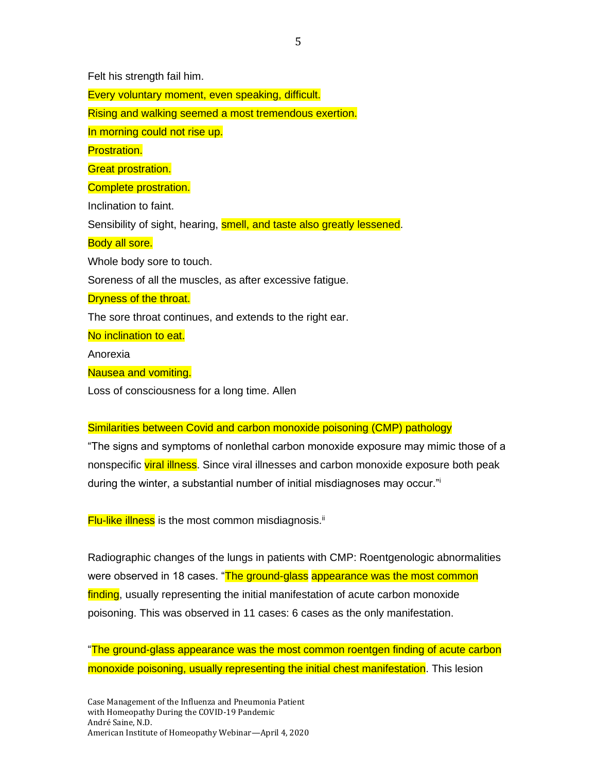Felt his strength fail him.

Every voluntary moment, even speaking, difficult.

Rising and walking seemed a most tremendous exertion.

In morning could not rise up.

Prostration.

**Great prostration.** 

Complete prostration.

Inclination to faint.

Sensibility of sight, hearing, smell, and taste also greatly lessened.

#### Body all sore.

Whole body sore to touch.

Soreness of all the muscles, as after excessive fatigue.

Dryness of the throat.

The sore throat continues, and extends to the right ear.

No inclination to eat.

Anorexia

Nausea and vomiting.

Loss of consciousness for a long time. Allen

#### Similarities between Covid and carbon monoxide poisoning (CMP) pathology

"The signs and symptoms of nonlethal carbon monoxide exposure may mimic those of a nonspecific viral illness. Since viral illnesses and carbon monoxide exposure both peak during the winter, a substantial number of initial misdiagnoses may occur."<sup>i</sup>

**Flu-like illness** is the most common misdiagnosis.<sup>ii</sup>

Radiographic changes of the lungs in patients with CMP: Roentgenologic abnormalities were observed in 18 cases. "The ground-glass appearance was the most common finding, usually representing the initial manifestation of acute carbon monoxide poisoning. This was observed in 11 cases: 6 cases as the only manifestation.

"The ground-glass appearance was the most common roentgen finding of acute carbon monoxide poisoning, usually representing the initial chest manifestation. This lesion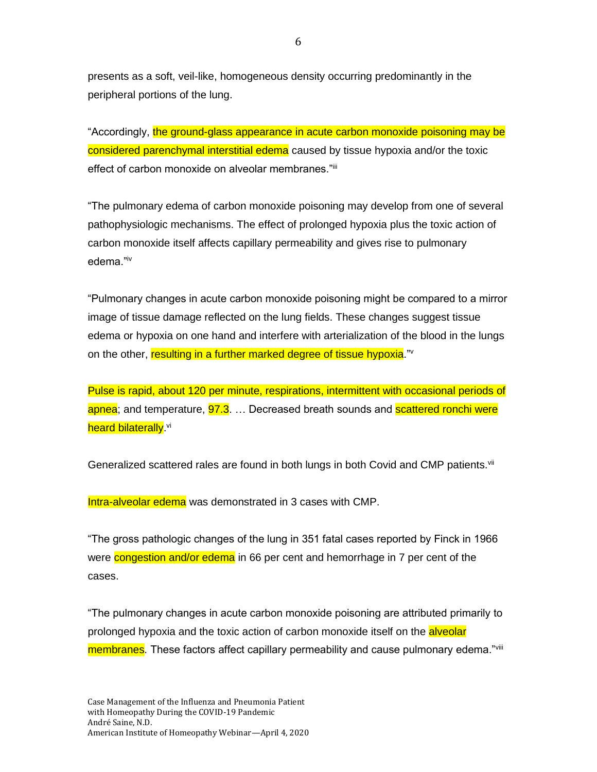presents as a soft, veil-like, homogeneous density occurring predominantly in the peripheral portions of the lung.

"Accordingly, the ground-glass appearance in acute carbon monoxide poisoning may be considered parenchymal interstitial edema caused by tissue hypoxia and/or the toxic effect of carbon monoxide on alveolar membranes."iii

"The pulmonary edema of carbon monoxide poisoning may develop from one of several pathophysiologic mechanisms. The effect of prolonged hypoxia plus the toxic action of carbon monoxide itself affects capillary permeability and gives rise to pulmonary edema."iv

"Pulmonary changes in acute carbon monoxide poisoning might be compared to a mirror image of tissue damage reflected on the lung fields. These changes suggest tissue edema or hypoxia on one hand and interfere with arterialization of the blood in the lungs on the other, resulting in a further marked degree of tissue hypoxia." I

Pulse is rapid, about 120 per minute, respirations, intermittent with occasional periods of apnea; and temperature, **97.3.** ... Decreased breath sounds and **scattered ronchi were** <mark>heard bilaterally</mark>.<sup>vi</sup>

Generalized scattered rales are found in both lungs in both Covid and CMP patients.<sup>vii</sup>

Intra-alveolar edema was demonstrated in 3 cases with CMP.

"The gross pathologic changes of the lung in 351 fatal cases reported by Finck in 1966 were congestion and/or edema in 66 per cent and hemorrhage in 7 per cent of the cases.

"The pulmonary changes in acute carbon monoxide poisoning are attributed primarily to prolonged hypoxia and the toxic action of carbon monoxide itself on the **alveolar** membranes. These factors affect capillary permeability and cause pulmonary edema."<sup>viii</sup>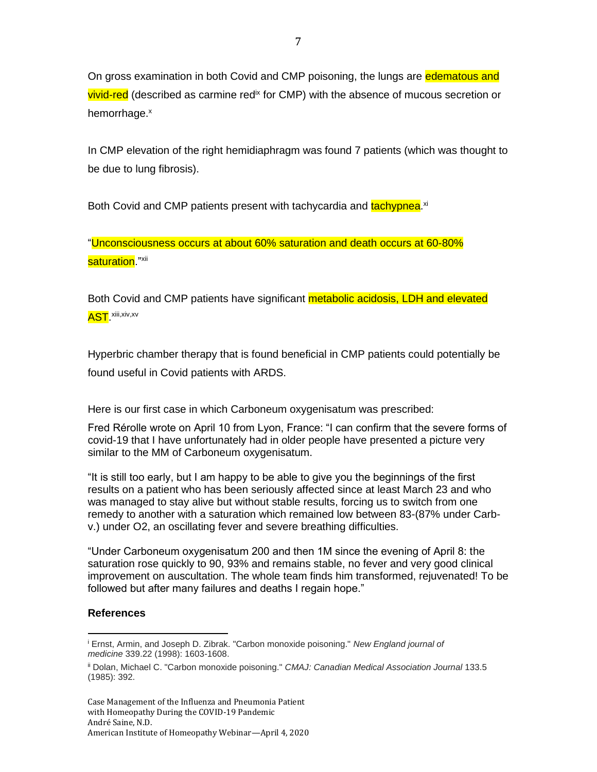On gross examination in both Covid and CMP poisoning, the lungs are edematous and **vivid-red** (described as carmine red<sup>ix</sup> for CMP) with the absence of mucous secretion or hemorrhage.<sup>x</sup>

In CMP elevation of the right hemidiaphragm was found 7 patients (which was thought to be due to lung fibrosis).

Both Covid and CMP patients present with tachycardia and <mark>tachypnea</mark>.<sup>xi</sup>

"Unconsciousness occurs at about 60% saturation and death occurs at 60-80% saturation."<sup>xii</sup>

Both Covid and CMP patients have significant **metabolic acidosis, LDH and elevated** <mark>AST</mark>. <sup>xiii,xiv,xv</sup>

Hyperbric chamber therapy that is found beneficial in CMP patients could potentially be found useful in Covid patients with ARDS.

Here is our first case in which Carboneum oxygenisatum was prescribed:

Fred Rérolle wrote on April 10 from Lyon, France: "I can confirm that the severe forms of covid-19 that I have unfortunately had in older people have presented a picture very similar to the MM of Carboneum oxygenisatum.

"It is still too early, but I am happy to be able to give you the beginnings of the first results on a patient who has been seriously affected since at least March 23 and who was managed to stay alive but without stable results, forcing us to switch from one remedy to another with a saturation which remained low between 83-(87% under Carbv.) under O2, an oscillating fever and severe breathing difficulties.

"Under Carboneum oxygenisatum 200 and then 1M since the evening of April 8: the saturation rose quickly to 90, 93% and remains stable, no fever and very good clinical improvement on auscultation. The whole team finds him transformed, rejuvenated! To be followed but after many failures and deaths I regain hope."

## **References**

<sup>i</sup> Ernst, Armin, and Joseph D. Zibrak. "Carbon monoxide poisoning." *New England journal of medicine* 339.22 (1998): 1603-1608.

ii Dolan, Michael C. "Carbon monoxide poisoning." *CMAJ: Canadian Medical Association Journal* 133.5 (1985): 392.